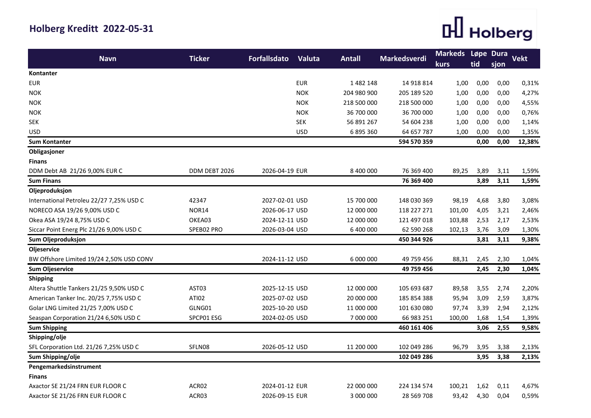## **Holberg Kreditt 2022-05-31**

## $\mathbb H$  Holberg

| <b>Navn</b>                              | <b>Ticker</b> | <b>Forfallsdato</b> | Valuta     | <b>Antall</b> | Markedsverdi | <b>Markeds</b><br><b>kurs</b> | Løpe Dura<br>tid | sjon | <b>Vekt</b> |
|------------------------------------------|---------------|---------------------|------------|---------------|--------------|-------------------------------|------------------|------|-------------|
| <b>Kontanter</b>                         |               |                     |            |               |              |                               |                  |      |             |
| <b>EUR</b>                               |               |                     | <b>EUR</b> | 1482148       | 14 918 814   | 1,00                          | 0,00             | 0,00 | 0,31%       |
| <b>NOK</b>                               |               |                     | <b>NOK</b> | 204 980 900   | 205 189 520  | 1,00                          | 0,00             | 0,00 | 4,27%       |
| <b>NOK</b>                               |               |                     | <b>NOK</b> | 218 500 000   | 218 500 000  | 1,00                          | 0,00             | 0,00 | 4,55%       |
| <b>NOK</b>                               |               |                     | <b>NOK</b> | 36 700 000    | 36 700 000   | 1,00                          | 0,00             | 0,00 | 0,76%       |
| <b>SEK</b>                               |               |                     | <b>SEK</b> | 56 891 267    | 54 604 238   | 1,00                          | 0,00             | 0,00 | 1,14%       |
| <b>USD</b>                               |               |                     | <b>USD</b> | 6 895 360     | 64 657 787   | 1,00                          | 0,00             | 0,00 | 1,35%       |
| <b>Sum Kontanter</b>                     |               |                     |            |               | 594 570 359  |                               | 0,00             | 0,00 | 12,38%      |
| Obligasjoner                             |               |                     |            |               |              |                               |                  |      |             |
| <b>Finans</b>                            |               |                     |            |               |              |                               |                  |      |             |
| DDM Debt AB 21/26 9,00% EUR C            | DDM DEBT 2026 | 2026-04-19 EUR      |            | 8 400 000     | 76 369 400   | 89,25                         | 3,89             | 3,11 | 1,59%       |
| <b>Sum Finans</b>                        |               |                     |            |               | 76 369 400   |                               | 3,89             | 3,11 | 1,59%       |
| Oljeproduksjon                           |               |                     |            |               |              |                               |                  |      |             |
| International Petroleu 22/27 7,25% USD C | 42347         | 2027-02-01 USD      |            | 15 700 000    | 148 030 369  | 98,19                         | 4,68             | 3,80 | 3,08%       |
| NORECO ASA 19/26 9,00% USD C             | <b>NOR14</b>  | 2026-06-17 USD      |            | 12 000 000    | 118 227 271  | 101,00                        | 4,05             | 3,21 | 2,46%       |
| Okea ASA 19/24 8,75% USD C               | OKEA03        | 2024-12-11 USD      |            | 12 000 000    | 121 497 018  | 103,88                        | 2,53             | 2,17 | 2,53%       |
| Siccar Point Energ Plc 21/26 9,00% USD C | SPEB02 PRO    | 2026-03-04 USD      |            | 6 400 000     | 62 590 268   | 102,13                        | 3,76             | 3,09 | 1,30%       |
| Sum Oljeproduksjon                       |               |                     |            |               | 450 344 926  |                               | 3,81             | 3,11 | 9,38%       |
| Oljeservice                              |               |                     |            |               |              |                               |                  |      |             |
| BW Offshore Limited 19/24 2,50% USD CONV |               | 2024-11-12 USD      |            | 6 000 000     | 49 759 456   | 88,31                         | 2,45             | 2,30 | 1,04%       |
| <b>Sum Oljeservice</b>                   |               |                     |            |               | 49 759 456   |                               | 2,45             | 2,30 | 1,04%       |
| Shipping                                 |               |                     |            |               |              |                               |                  |      |             |
| Altera Shuttle Tankers 21/25 9,50% USD C | AST03         | 2025-12-15 USD      |            | 12 000 000    | 105 693 687  | 89,58                         | 3,55             | 2,74 | 2,20%       |
| American Tanker Inc. 20/25 7,75% USD C   | <b>ATI02</b>  | 2025-07-02 USD      |            | 20 000 000    | 185 854 388  | 95,94                         | 3,09             | 2,59 | 3,87%       |
| Golar LNG Limited 21/25 7,00% USD C      | GLNG01        | 2025-10-20 USD      |            | 11 000 000    | 101 630 080  | 97,74                         | 3,39             | 2,94 | 2,12%       |
| Seaspan Corporation 21/24 6,50% USD C    | SPCP01 ESG    | 2024-02-05 USD      |            | 7 000 000     | 66 983 251   | 100,00                        | 1,68             | 1,54 | 1,39%       |
| <b>Sum Shipping</b>                      |               |                     |            |               | 460 161 406  |                               | 3,06             | 2,55 | 9,58%       |
| Shipping/olje                            |               |                     |            |               |              |                               |                  |      |             |
| SFL Corporation Ltd. 21/26 7,25% USD C   | SFLN08        | 2026-05-12 USD      |            | 11 200 000    | 102 049 286  | 96,79                         | 3,95             | 3,38 | 2,13%       |
| Sum Shipping/olje                        |               |                     |            |               | 102 049 286  |                               | 3,95             | 3,38 | 2,13%       |
| Pengemarkedsinstrument                   |               |                     |            |               |              |                               |                  |      |             |
| <b>Finans</b>                            |               |                     |            |               |              |                               |                  |      |             |
| Axactor SE 21/24 FRN EUR FLOOR C         | ACR02         | 2024-01-12 EUR      |            | 22 000 000    | 224 134 574  | 100,21                        | 1,62             | 0,11 | 4,67%       |
| Axactor SE 21/26 FRN EUR FLOOR C         | ACR03         | 2026-09-15 EUR      |            | 3 000 000     | 28 569 708   | 93,42                         | 4,30             | 0,04 | 0,59%       |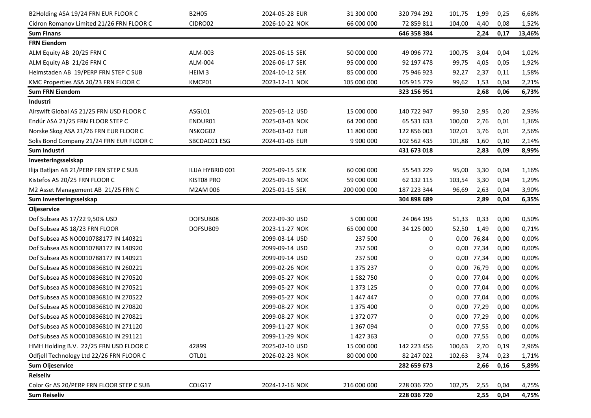| B2Holding ASA 19/24 FRN EUR FLOOR C      | <b>B2H05</b>      | 2024-05-28 EUR | 31 300 000    | 320 794 292 | 101,75 | 1,99       | 0,25 | 6,68%  |
|------------------------------------------|-------------------|----------------|---------------|-------------|--------|------------|------|--------|
| Cidron Romanov Limited 21/26 FRN FLOOR C | CIDRO02           | 2026-10-22 NOK | 66 000 000    | 72 859 811  | 104,00 | 4,40       | 0,08 | 1,52%  |
| <b>Sum Finans</b>                        |                   |                |               | 646 358 384 |        | 2,24       | 0,17 | 13,46% |
| <b>FRN Eiendom</b>                       |                   |                |               |             |        |            |      |        |
| ALM Equity AB 20/25 FRN C                | ALM-003           | 2025-06-15 SEK | 50 000 000    | 49 096 772  | 100,75 | 3,04       | 0,04 | 1,02%  |
| ALM Equity AB 21/26 FRN C                | ALM-004           | 2026-06-17 SEK | 95 000 000    | 92 197 478  | 99,75  | 4,05       | 0,05 | 1,92%  |
| Heimstaden AB 19/PERP FRN STEP C SUB     | HEIM <sub>3</sub> | 2024-10-12 SEK | 85 000 000    | 75 946 923  | 92,27  | 2,37       | 0,11 | 1,58%  |
| KMC Properties ASA 20/23 FRN FLOOR C     | KMCP01            | 2023-12-11 NOK | 105 000 000   | 105 915 779 | 99,62  | 1,53       | 0,04 | 2,21%  |
| <b>Sum FRN Eiendom</b>                   |                   |                |               | 323 156 951 |        | 2,68       | 0,06 | 6,73%  |
| Industri                                 |                   |                |               |             |        |            |      |        |
| Airswift Global AS 21/25 FRN USD FLOOR C | ASGL01            | 2025-05-12 USD | 15 000 000    | 140 722 947 | 99,50  | 2,95       | 0,20 | 2,93%  |
| Endúr ASA 21/25 FRN FLOOR STEP C         | ENDUR01           | 2025-03-03 NOK | 64 200 000    | 65 531 633  | 100,00 | 2,76       | 0,01 | 1,36%  |
| Norske Skog ASA 21/26 FRN EUR FLOOR C    | NSKOG02           | 2026-03-02 EUR | 11 800 000    | 122 856 003 | 102,01 | 3,76       | 0,01 | 2,56%  |
| Solis Bond Company 21/24 FRN EUR FLOOR C | SBCDAC01 ESG      | 2024-01-06 EUR | 9 900 000     | 102 562 435 | 101,88 | 1,60       | 0,10 | 2,14%  |
| Sum Industri                             |                   |                |               | 431 673 018 |        | 2,83       | 0,09 | 8,99%  |
| Investeringsselskap                      |                   |                |               |             |        |            |      |        |
| Ilija Batljan AB 21/PERP FRN STEP C SUB  | ILIJA HYBRID 001  | 2025-09-15 SEK | 60 000 000    | 55 543 229  | 95,00  | 3,30       | 0,04 | 1,16%  |
| Kistefos AS 20/25 FRN FLOOR C            | KIST08 PRO        | 2025-09-16 NOK | 59 000 000    | 62 132 115  | 103,54 | 3,30       | 0,04 | 1,29%  |
| M2 Asset Management AB 21/25 FRN C       | M2AM 006          | 2025-01-15 SEK | 200 000 000   | 187 223 344 | 96,69  | 2,63       | 0,04 | 3,90%  |
| Sum Investeringsselskap                  |                   |                |               | 304 898 689 |        | 2,89       | 0,04 | 6,35%  |
| Oljeservice                              |                   |                |               |             |        |            |      |        |
| Dof Subsea AS 17/22 9,50% USD            | DOFSUB08          | 2022-09-30 USD | 5 000 000     | 24 064 195  | 51,33  | 0,33       | 0,00 | 0,50%  |
| Dof Subsea AS 18/23 FRN FLOOR            | DOFSUB09          | 2023-11-27 NOK | 65 000 000    | 34 125 000  | 52,50  | 1,49       | 0,00 | 0,71%  |
| Dof Subsea AS NO0010788177 IN 140321     |                   | 2099-03-14 USD | 237 500       | 0           |        | 0,00 76,84 | 0,00 | 0,00%  |
| Dof Subsea AS NO0010788177 IN 140920     |                   | 2099-09-14 USD | 237 500       | 0           |        | 0,00 77,34 | 0,00 | 0,00%  |
| Dof Subsea AS NO0010788177 IN 140921     |                   | 2099-09-14 USD | 237 500       | 0           |        | 0,00 77,34 | 0,00 | 0,00%  |
| Dof Subsea AS NO0010836810 IN 260221     |                   | 2099-02-26 NOK | 1 375 237     | 0           |        | 0,00 76,79 | 0,00 | 0,00%  |
| Dof Subsea AS NO0010836810 IN 270520     |                   | 2099-05-27 NOK | 1582750       | 0           |        | 0,00 77,04 | 0,00 | 0,00%  |
| Dof Subsea AS NO0010836810 IN 270521     |                   | 2099-05-27 NOK | 1 3 7 3 1 2 5 | 0           |        | 0,00 77,04 | 0,00 | 0,00%  |
| Dof Subsea AS NO0010836810 IN 270522     |                   | 2099-05-27 NOK | 1447447       | 0           |        | 0,00 77,04 | 0,00 | 0,00%  |
| Dof Subsea AS NO0010836810 IN 270820     |                   | 2099-08-27 NOK | 1 375 400     | 0           |        | 0,00 77,29 | 0,00 | 0,00%  |
| Dof Subsea AS NO0010836810 IN 270821     |                   | 2099-08-27 NOK | 1372077       | 0           |        | 0,00 77,29 | 0,00 | 0,00%  |
| Dof Subsea AS NO0010836810 IN 271120     |                   | 2099-11-27 NOK | 1 3 6 7 0 9 4 | 0           |        | 0,00 77,55 | 0,00 | 0,00%  |
| Dof Subsea AS NO0010836810 IN 291121     |                   | 2099-11-29 NOK | 1427363       | 0           |        | 0,00 77,55 | 0,00 | 0,00%  |
| HMH Holding B.V. 22/25 FRN USD FLOOR C   | 42899             | 2025-02-10 USD | 15 000 000    | 142 223 456 | 100,63 | 2,70       | 0,19 | 2,96%  |
| Odfjell Technology Ltd 22/26 FRN FLOOR C | OTL01             | 2026-02-23 NOK | 80 000 000    | 82 247 022  | 102,63 | 3,74       | 0,23 | 1,71%  |
| <b>Sum Oljeservice</b>                   |                   |                |               | 282 659 673 |        | 2,66       | 0,16 | 5,89%  |
| <b>Reiseliv</b>                          |                   |                |               |             |        |            |      |        |
| Color Gr AS 20/PERP FRN FLOOR STEP C SUB | COLG17            | 2024-12-16 NOK | 216 000 000   | 228 036 720 | 102,75 | 2,55       | 0,04 | 4,75%  |
| <b>Sum Reiseliv</b>                      |                   |                |               | 228 036 720 |        | 2,55       | 0,04 | 4,75%  |